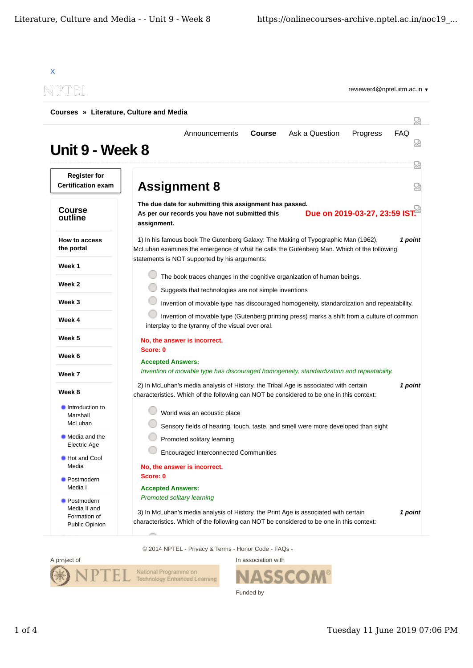| Courses » Literature, Culture and Media          |                                                                                                                                                                                                                                                                                                       |            |  |
|--------------------------------------------------|-------------------------------------------------------------------------------------------------------------------------------------------------------------------------------------------------------------------------------------------------------------------------------------------------------|------------|--|
| Unit 9 - Week 8                                  | Ask a Question<br>Announcements<br><b>Course</b><br>Progress                                                                                                                                                                                                                                          | <b>FAQ</b> |  |
| <b>Register for</b><br><b>Certification exam</b> | <b>Assignment 8</b>                                                                                                                                                                                                                                                                                   | 눲<br>닜     |  |
| <b>Course</b><br>outline                         | The due date for submitting this assignment has passed.<br>Due on 2019-03-27, 23:59 IST.<br>As per our records you have not submitted this<br>assignment.                                                                                                                                             |            |  |
| <b>How to access</b><br>the portal               | 1) In his famous book The Gutenberg Galaxy: The Making of Typographic Man (1962),<br>McLuhan examines the emergence of what he calls the Gutenberg Man. Which of the following                                                                                                                        | 1 point    |  |
| Week 1                                           | statements is NOT supported by his arguments:                                                                                                                                                                                                                                                         |            |  |
| Week 2                                           | The book traces changes in the cognitive organization of human beings.                                                                                                                                                                                                                                |            |  |
| Week 3                                           | Suggests that technologies are not simple inventions<br>Invention of movable type has discouraged homogeneity, standardization and repeatability.<br>Invention of movable type (Gutenberg printing press) marks a shift from a culture of common<br>interplay to the tyranny of the visual over oral. |            |  |
| Week 4                                           |                                                                                                                                                                                                                                                                                                       |            |  |
| Week 5                                           | No, the answer is incorrect.                                                                                                                                                                                                                                                                          |            |  |
| Week 6                                           | Score: 0<br><b>Accepted Answers:</b>                                                                                                                                                                                                                                                                  |            |  |
| Week 7                                           | Invention of movable type has discouraged homogeneity, standardization and repeatability.                                                                                                                                                                                                             |            |  |
| Week 8                                           | 2) In McLuhan's media analysis of History, the Tribal Age is associated with certain<br>1 point<br>characteristics. Which of the following can NOT be considered to be one in this context:                                                                                                           |            |  |
| Introduction to<br>Marshall<br>McLuhan           | World was an acoustic place                                                                                                                                                                                                                                                                           |            |  |
| Media and the<br>Electric Age                    | Sensory fields of hearing, touch, taste, and smell were more developed than sight<br>Promoted solitary learning                                                                                                                                                                                       |            |  |
| Hot and Cool<br>Media                            | <b>Encouraged Interconnected Communities</b><br>No, the answer is incorrect.                                                                                                                                                                                                                          |            |  |
| Postmodern<br>Media I                            | Score: 0<br><b>Accepted Answers:</b>                                                                                                                                                                                                                                                                  |            |  |
| Postmodern<br>Media II and<br>Formation of       | Promoted solitary learning<br>3) In McLuhan's media analysis of History, the Print Age is associated with certain                                                                                                                                                                                     | 1 point    |  |

© 2014 NPTEL - Privacy & Terms - Honor Code - FAQs -



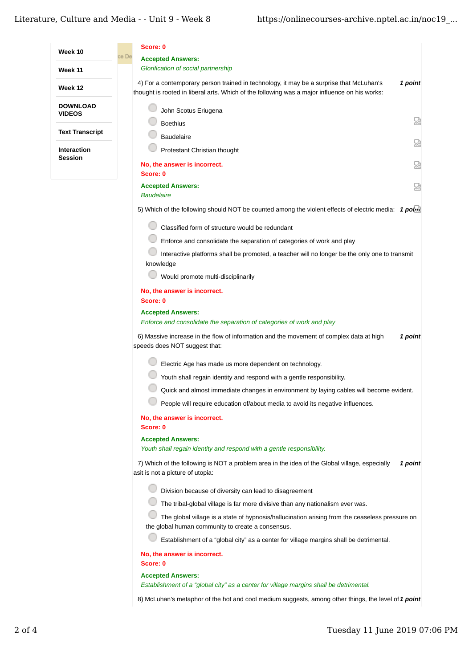| Week 10                | Score: 0<br>e De                                                                                                                                                                         |         |
|------------------------|------------------------------------------------------------------------------------------------------------------------------------------------------------------------------------------|---------|
| Week 11                | <b>Accepted Answers:</b><br>Glorification of social partnership                                                                                                                          |         |
| Week 12                | 4) For a contemporary person trained in technology, it may be a surprise that McLuhan's<br>thought is rooted in liberal arts. Which of the following was a major influence on his works: | 1 point |
| <b>DOWNLOAD</b>        | John Scotus Eriugena                                                                                                                                                                     |         |
| VIDEOS                 | <b>Boethius</b>                                                                                                                                                                          | Ы       |
| <b>Text Transcript</b> | <b>Baudelaire</b>                                                                                                                                                                        |         |
| <b>Interaction</b>     | Protestant Christian thought                                                                                                                                                             | 썮       |
| Session                | No, the answer is incorrect.<br>Score: 0                                                                                                                                                 | 요       |
|                        | <b>Accepted Answers:</b><br><b>Baudelaire</b>                                                                                                                                            | 덣       |
|                        | 5) Which of the following should NOT be counted among the violent effects of electric media: 1 point                                                                                     |         |
|                        | Classified form of structure would be redundant                                                                                                                                          |         |
|                        | Enforce and consolidate the separation of categories of work and play                                                                                                                    |         |
|                        | Interactive platforms shall be promoted, a teacher will no longer be the only one to transmit<br>knowledge                                                                               |         |
|                        | Would promote multi-disciplinarily                                                                                                                                                       |         |
|                        | No, the answer is incorrect.<br>Score: 0                                                                                                                                                 |         |
|                        | <b>Accepted Answers:</b><br>Enforce and consolidate the separation of categories of work and play                                                                                        |         |
|                        | 6) Massive increase in the flow of information and the movement of complex data at high<br>speeds does NOT suggest that:                                                                 | 1 point |
|                        | Electric Age has made us more dependent on technology.                                                                                                                                   |         |
|                        | Youth shall regain identity and respond with a gentle responsibility.                                                                                                                    |         |
|                        | Quick and almost immediate changes in environment by laying cables will become evident.                                                                                                  |         |
|                        | People will require education of/about media to avoid its negative influences.                                                                                                           |         |
|                        | No, the answer is incorrect.                                                                                                                                                             |         |
|                        | Score: 0                                                                                                                                                                                 |         |
|                        | <b>Accepted Answers:</b><br>Youth shall regain identity and respond with a gentle responsibility.                                                                                        |         |
|                        | 7) Which of the following is NOT a problem area in the idea of the Global village, especially<br>asit is not a picture of utopia:                                                        | 1 point |
|                        | Division because of diversity can lead to disagreement                                                                                                                                   |         |
|                        | The tribal-global village is far more divisive than any nationalism ever was.                                                                                                            |         |
|                        | The global village is a state of hypnosis/hallucination arising from the ceaseless pressure on<br>the global human community to create a consensus.                                      |         |
|                        | Establishment of a "global city" as a center for village margins shall be detrimental.                                                                                                   |         |
|                        | No, the answer is incorrect.<br>Score: 0                                                                                                                                                 |         |
|                        | <b>Accepted Answers:</b><br>Establishment of a "global city" as a center for village margins shall be detrimental.                                                                       |         |
|                        | 8) McLuhan's metaphor of the hot and cool medium suggests, among other things, the level of 1 point                                                                                      |         |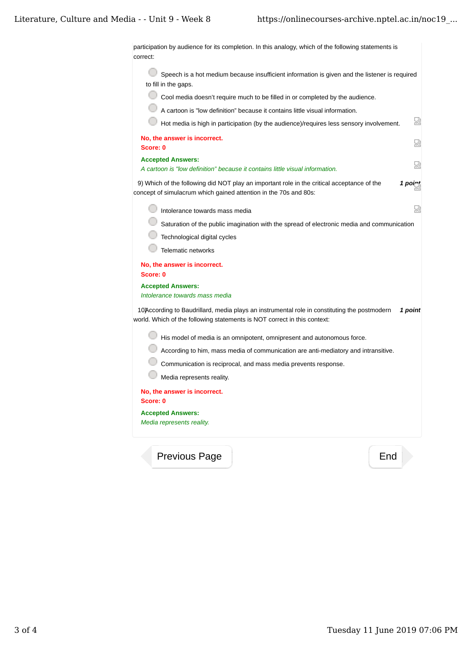participation by audience for its completion. In this analogy, which of the following statements is correct: Speech is a hot medium because insufficient information is given and the listener is required to fill in the gaps. Cool media doesn't require much to be filled in or completed by the audience. A cartoon is "low definition" because it contains little visual information. Hot media is high in participation (by the audience)/requires less sensory involvement. 習 **No, the answer is incorrect.** 赑 **Score: 0 Accepted Answers:** ç *A cartoon is "low definition" because it contains little visual information.* 9) Which of the following did NOT play an important role in the critical acceptance of the **1 point** concept of simulacrum which gained attention in the 70s and 80s: 赑 Intolerance towards mass media **Saturation of the public imagination with the spread of electronic media and communication** Technological digital cycles **Telematic networks No, the answer is incorrect. Score: 0 Accepted Answers:** *Intolerance towards mass media* 10) According to Baudrillard, media plays an instrumental role in constituting the postmodern 1 point world. Which of the following statements is NOT correct in this context: **His model of media is an omnipotent, omnipresent and autonomous force.** According to him, mass media of communication are anti-mediatory and intransitive. Communication is reciprocal, and mass media prevents response. 0 Media represents reality. **No, the answer is incorrect. Score: 0 Accepted Answers:** *Media represents reality.*

Previous Page End